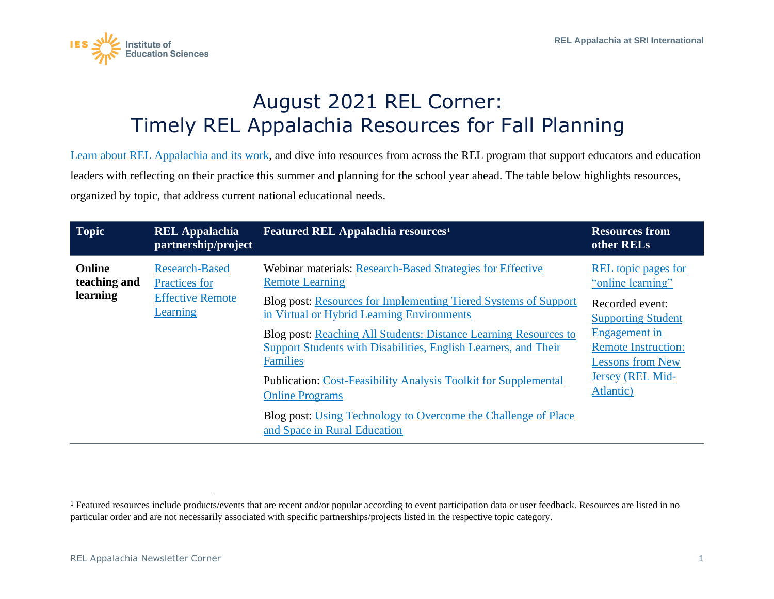

## August 2021 REL Corner: Timely REL Appalachia Resources for Fall Planning

[Learn about REL Appalachia](https://ies.ed.gov/ncee/edlabs/regions/appalachia/) and its work, and dive into resources from across the REL program that support educators and education leaders with reflecting on their practice this summer and planning for the school year ahead. The table below highlights resources, organized by topic, that address current national educational needs.

| <b>Topic</b>                              | <b>REL Appalachia</b><br>partnership/project                                  | <b>Featured REL Appalachia resources<sup>1</sup></b>                                                                                                   | <b>Resources from</b><br>other RELs                                    |
|-------------------------------------------|-------------------------------------------------------------------------------|--------------------------------------------------------------------------------------------------------------------------------------------------------|------------------------------------------------------------------------|
| <b>Online</b><br>teaching and<br>learning | <b>Research-Based</b><br>Practices for<br><b>Effective Remote</b><br>Learning | Webinar materials: Research-Based Strategies for Effective<br><b>Remote Learning</b>                                                                   | REL topic pages for<br>"online learning"                               |
|                                           |                                                                               | Blog post: Resources for Implementing Tiered Systems of Support<br>in Virtual or Hybrid Learning Environments                                          | Recorded event:<br><b>Supporting Student</b>                           |
|                                           |                                                                               | Blog post: Reaching All Students: Distance Learning Resources to<br>Support Students with Disabilities, English Learners, and Their<br><b>Families</b> | Engagement in<br><b>Remote Instruction:</b><br><b>Lessons from New</b> |
|                                           |                                                                               | <b>Publication: Cost-Feasibility Analysis Toolkit for Supplemental</b><br><b>Online Programs</b>                                                       | Jersey (REL Mid-<br>Atlantic)                                          |
|                                           |                                                                               | Blog post: Using Technology to Overcome the Challenge of Place<br>and Space in Rural Education                                                         |                                                                        |

<sup>&</sup>lt;sup>1</sup> Featured resources include products/events that are recent and/or popular according to event participation data or user feedback. Resources are listed in no particular order and are not necessarily associated with specific partnerships/projects listed in the respective topic category.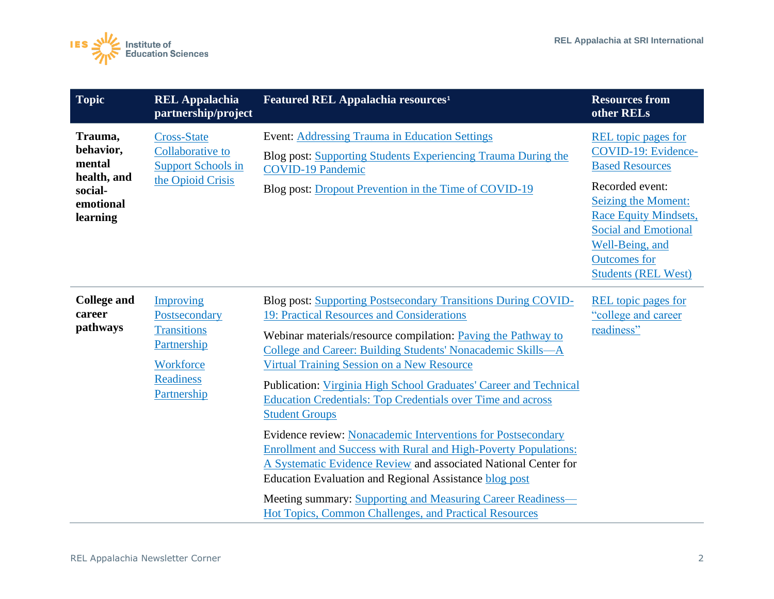

| <b>Topic</b>                                                                      | <b>REL Appalachia</b><br>partnership/project                                                                    | Featured REL Appalachia resources <sup>1</sup>                                                                                                                                                                                                                                                                                                                                                                                                                                                                                                                                                                                                                                                                                                                                                                                                                       | <b>Resources from</b><br>other RELs                                                                                                                                                                                                                          |
|-----------------------------------------------------------------------------------|-----------------------------------------------------------------------------------------------------------------|----------------------------------------------------------------------------------------------------------------------------------------------------------------------------------------------------------------------------------------------------------------------------------------------------------------------------------------------------------------------------------------------------------------------------------------------------------------------------------------------------------------------------------------------------------------------------------------------------------------------------------------------------------------------------------------------------------------------------------------------------------------------------------------------------------------------------------------------------------------------|--------------------------------------------------------------------------------------------------------------------------------------------------------------------------------------------------------------------------------------------------------------|
| Trauma,<br>behavior,<br>mental<br>health, and<br>social-<br>emotional<br>learning | <b>Cross-State</b><br>Collaborative to<br><b>Support Schools in</b><br>the Opioid Crisis                        | <b>Event: Addressing Trauma in Education Settings</b><br>Blog post: Supporting Students Experiencing Trauma During the<br><b>COVID-19 Pandemic</b><br>Blog post: Dropout Prevention in the Time of COVID-19                                                                                                                                                                                                                                                                                                                                                                                                                                                                                                                                                                                                                                                          | <b>REL</b> topic pages for<br>COVID-19: Evidence-<br><b>Based Resources</b><br>Recorded event:<br>Seizing the Moment:<br><b>Race Equity Mindsets,</b><br><b>Social and Emotional</b><br>Well-Being, and<br><b>Outcomes</b> for<br><b>Students (REL West)</b> |
| <b>College and</b><br>career<br>pathways                                          | Improving<br>Postsecondary<br><b>Transitions</b><br>Partnership<br>Workforce<br><b>Readiness</b><br>Partnership | Blog post: Supporting Postsecondary Transitions During COVID-<br>19: Practical Resources and Considerations<br>Webinar materials/resource compilation: Paving the Pathway to<br>College and Career: Building Students' Nonacademic Skills-A<br><b>Virtual Training Session on a New Resource</b><br>Publication: Virginia High School Graduates' Career and Technical<br><b>Education Credentials: Top Credentials over Time and across</b><br><b>Student Groups</b><br>Evidence review: Nonacademic Interventions for Postsecondary<br><b>Enrollment and Success with Rural and High-Poverty Populations:</b><br>A Systematic Evidence Review and associated National Center for<br>Education Evaluation and Regional Assistance blog post<br>Meeting summary: Supporting and Measuring Career Readiness-<br>Hot Topics, Common Challenges, and Practical Resources | <b>REL</b> topic pages for<br>"college and career<br>readiness"                                                                                                                                                                                              |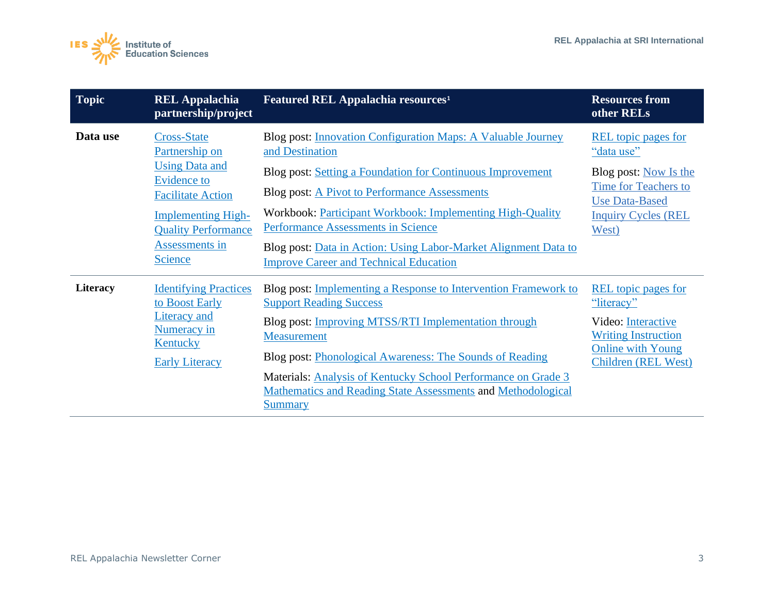

| <b>Topic</b>    | <b>REL Appalachia</b><br>partnership/project                                                                                                                                                 | Featured REL Appalachia resources <sup>1</sup>                                                                                                                                                                                                                                                                                                                                                                                                  | <b>Resources from</b><br>other RELs                                                                                                                       |
|-----------------|----------------------------------------------------------------------------------------------------------------------------------------------------------------------------------------------|-------------------------------------------------------------------------------------------------------------------------------------------------------------------------------------------------------------------------------------------------------------------------------------------------------------------------------------------------------------------------------------------------------------------------------------------------|-----------------------------------------------------------------------------------------------------------------------------------------------------------|
| Data use        | <b>Cross-State</b><br>Partnership on<br><b>Using Data and</b><br><b>Evidence to</b><br><b>Facilitate Action</b><br><b>Implementing High-</b><br><b>Quality Performance</b><br>Assessments in | <b>Blog post: Innovation Configuration Maps: A Valuable Journey</b><br>and Destination<br>Blog post: Setting a Foundation for Continuous Improvement<br><b>Blog post: A Pivot to Performance Assessments</b><br>Workbook: Participant Workbook: Implementing High-Quality<br><b>Performance Assessments in Science</b><br>Blog post: Data in Action: Using Labor-Market Alignment Data to                                                       | <b>REL</b> topic pages for<br>"data use"<br>Blog post: Now Is the<br>Time for Teachers to<br><b>Use Data-Based</b><br><b>Inquiry Cycles (REL</b><br>West) |
| <b>Literacy</b> | <b>Science</b><br><b>Identifying Practices</b><br>to Boost Early<br><b>Literacy</b> and<br>Numeracy in<br><b>Kentucky</b><br><b>Early Literacy</b>                                           | <b>Improve Career and Technical Education</b><br>Blog post: Implementing a Response to Intervention Framework to<br><b>Support Reading Success</b><br>Blog post: <i>Improving MTSS/RTI Implementation through</i><br>Measurement<br>Blog post: Phonological Awareness: The Sounds of Reading<br>Materials: Analysis of Kentucky School Performance on Grade 3<br>Mathematics and Reading State Assessments and Methodological<br><b>Summary</b> | <b>REL</b> topic pages for<br>"literacy"<br>Video: Interactive<br><b>Writing Instruction</b><br><b>Online with Young</b><br>Children (REL West)           |